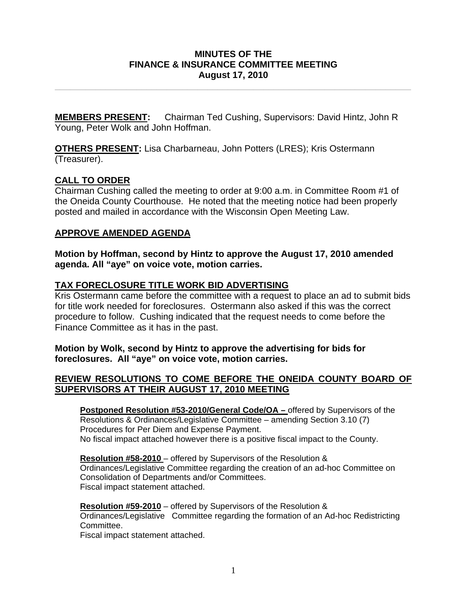## **MINUTES OF THE FINANCE & INSURANCE COMMITTEE MEETING August 17, 2010**

**\_\_\_\_\_\_\_\_\_\_\_\_\_\_\_\_\_\_\_\_\_\_\_\_\_\_\_\_\_\_\_\_\_\_\_\_\_\_\_\_\_\_\_\_\_\_\_\_\_\_\_\_\_\_\_\_\_\_\_\_\_\_\_\_\_\_\_\_\_\_** 

**MEMBERS PRESENT:** Chairman Ted Cushing, Supervisors: David Hintz, John R Young, Peter Wolk and John Hoffman.

**OTHERS PRESENT:** Lisa Charbarneau, John Potters (LRES); Kris Ostermann (Treasurer).

## **CALL TO ORDER**

Chairman Cushing called the meeting to order at 9:00 a.m. in Committee Room #1 of the Oneida County Courthouse. He noted that the meeting notice had been properly posted and mailed in accordance with the Wisconsin Open Meeting Law.

## **APPROVE AMENDED AGENDA**

**Motion by Hoffman, second by Hintz to approve the August 17, 2010 amended agenda. All "aye" on voice vote, motion carries.** 

## **TAX FORECLOSURE TITLE WORK BID ADVERTISING**

Kris Ostermann came before the committee with a request to place an ad to submit bids for title work needed for foreclosures. Ostermann also asked if this was the correct procedure to follow. Cushing indicated that the request needs to come before the Finance Committee as it has in the past.

## **Motion by Wolk, second by Hintz to approve the advertising for bids for foreclosures. All "aye" on voice vote, motion carries.**

## **REVIEW RESOLUTIONS TO COME BEFORE THE ONEIDA COUNTY BOARD OF SUPERVISORS AT THEIR AUGUST 17, 2010 MEETING**

**Postponed Resolution #53-2010/General Code/OA – offered by Supervisors of the** Resolutions & Ordinances/Legislative Committee – amending Section 3.10 (7) Procedures for Per Diem and Expense Payment. No fiscal impact attached however there is a positive fiscal impact to the County.

**Resolution #58-2010** – offered by Supervisors of the Resolution & Ordinances/Legislative Committee regarding the creation of an ad-hoc Committee on Consolidation of Departments and/or Committees. Fiscal impact statement attached.

# **Resolution #59-2010** – offered by Supervisors of the Resolution &

Ordinances/Legislative Committee regarding the formation of an Ad-hoc Redistricting Committee.

Fiscal impact statement attached.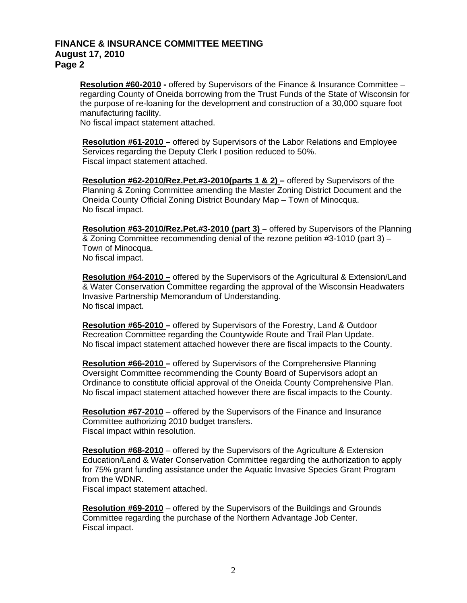#### **FINANCE & INSURANCE COMMITTEE MEETING August 17, 2010 Page 2**

**Resolution #60-2010 - offered by Supervisors of the Finance & Insurance Committee –** regarding County of Oneida borrowing from the Trust Funds of the State of Wisconsin for the purpose of re-loaning for the development and construction of a 30,000 square foot manufacturing facility.

No fiscal impact statement attached.

**Resolution #61-2010 –** offered by Supervisors of the Labor Relations and Employee Services regarding the Deputy Clerk I position reduced to 50%. Fiscal impact statement attached.

**Resolution #62-2010/Rez.Pet.#3-2010(parts 1 & 2) –** offered by Supervisors of the Planning & Zoning Committee amending the Master Zoning District Document and the Oneida County Official Zoning District Boundary Map – Town of Minocqua. No fiscal impact.

**Resolution #63-2010/Rez.Pet.#3-2010 (part 3) –** offered by Supervisors of the Planning & Zoning Committee recommending denial of the rezone petition #3-1010 (part 3) – Town of Minocqua. No fiscal impact.

**Resolution #64-2010 –** offered by the Supervisors of the Agricultural & Extension/Land & Water Conservation Committee regarding the approval of the Wisconsin Headwaters Invasive Partnership Memorandum of Understanding. No fiscal impact.

 **Resolution #65-2010 –** offered by Supervisors of the Forestry, Land & Outdoor Recreation Committee regarding the Countywide Route and Trail Plan Update. No fiscal impact statement attached however there are fiscal impacts to the County.

**Resolution #66-2010 –** offered by Supervisors of the Comprehensive Planning Oversight Committee recommending the County Board of Supervisors adopt an Ordinance to constitute official approval of the Oneida County Comprehensive Plan. No fiscal impact statement attached however there are fiscal impacts to the County.

**Resolution #67-2010** – offered by the Supervisors of the Finance and Insurance Committee authorizing 2010 budget transfers. Fiscal impact within resolution.

**Resolution #68-2010** – offered by the Supervisors of the Agriculture & Extension Education/Land & Water Conservation Committee regarding the authorization to apply for 75% grant funding assistance under the Aquatic Invasive Species Grant Program from the WDNR.

Fiscal impact statement attached.

**Resolution #69-2010** – offered by the Supervisors of the Buildings and Grounds Committee regarding the purchase of the Northern Advantage Job Center. Fiscal impact.